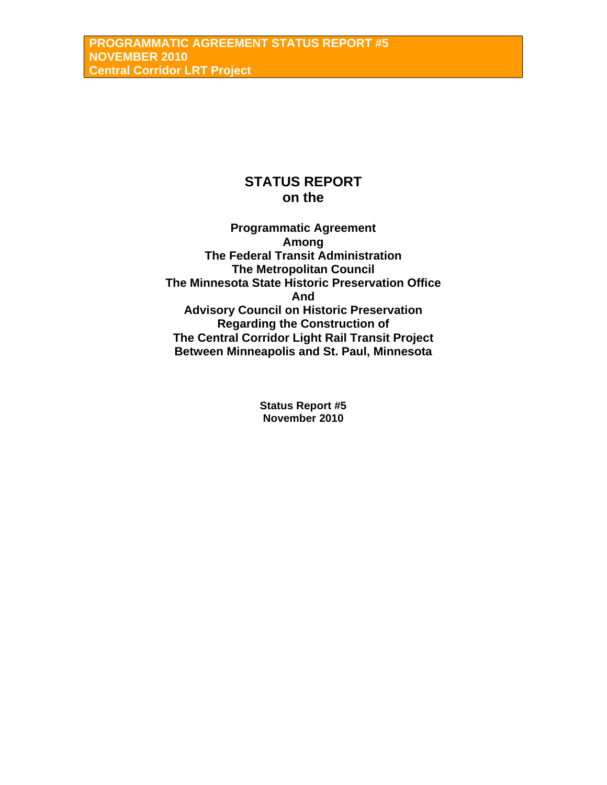# **STATUS REPORT on the**

**Programmatic Agreement Among The Federal Transit Administration The Metropolitan Council The Minnesota State Historic Preservation Office And Advisory Council on Historic Preservation Regarding the Construction of The Central Corridor Light Rail Transit Project Between Minneapolis and St. Paul, Minnesota** 

> **Status Report #5 November 2010**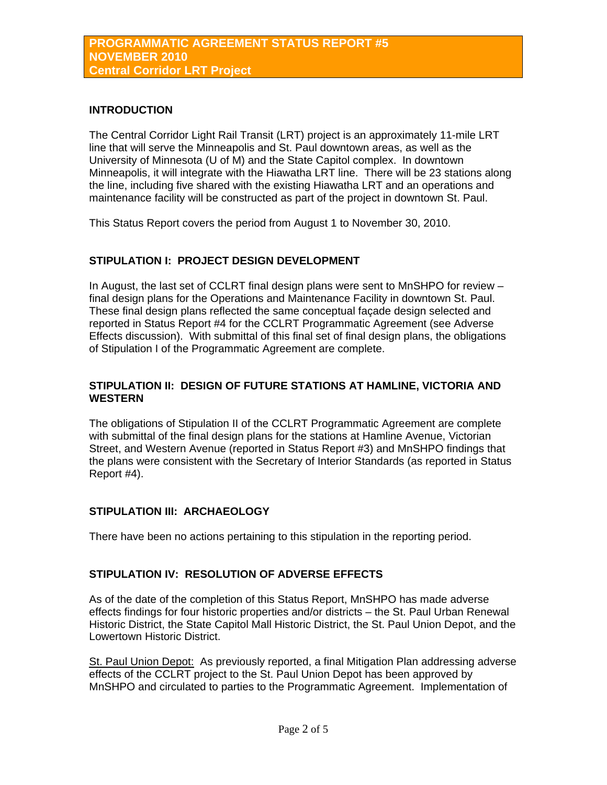## **INTRODUCTION**

The Central Corridor Light Rail Transit (LRT) project is an approximately 11-mile LRT line that will serve the Minneapolis and St. Paul downtown areas, as well as the University of Minnesota (U of M) and the State Capitol complex. In downtown Minneapolis, it will integrate with the Hiawatha LRT line. There will be 23 stations along the line, including five shared with the existing Hiawatha LRT and an operations and maintenance facility will be constructed as part of the project in downtown St. Paul.

This Status Report covers the period from August 1 to November 30, 2010.

# **STIPULATION I: PROJECT DESIGN DEVELOPMENT**

In August, the last set of CCLRT final design plans were sent to MnSHPO for review – final design plans for the Operations and Maintenance Facility in downtown St. Paul. These final design plans reflected the same conceptual façade design selected and reported in Status Report #4 for the CCLRT Programmatic Agreement (see Adverse Effects discussion). With submittal of this final set of final design plans, the obligations of Stipulation I of the Programmatic Agreement are complete.

## **STIPULATION II: DESIGN OF FUTURE STATIONS AT HAMLINE, VICTORIA AND WESTERN**

The obligations of Stipulation II of the CCLRT Programmatic Agreement are complete with submittal of the final design plans for the stations at Hamline Avenue, Victorian Street, and Western Avenue (reported in Status Report #3) and MnSHPO findings that the plans were consistent with the Secretary of Interior Standards (as reported in Status Report #4).

## **STIPULATION III: ARCHAEOLOGY**

There have been no actions pertaining to this stipulation in the reporting period.

## **STIPULATION IV: RESOLUTION OF ADVERSE EFFECTS**

As of the date of the completion of this Status Report, MnSHPO has made adverse effects findings for four historic properties and/or districts – the St. Paul Urban Renewal Historic District, the State Capitol Mall Historic District, the St. Paul Union Depot, and the Lowertown Historic District.

St. Paul Union Depot: As previously reported, a final Mitigation Plan addressing adverse effects of the CCLRT project to the St. Paul Union Depot has been approved by MnSHPO and circulated to parties to the Programmatic Agreement. Implementation of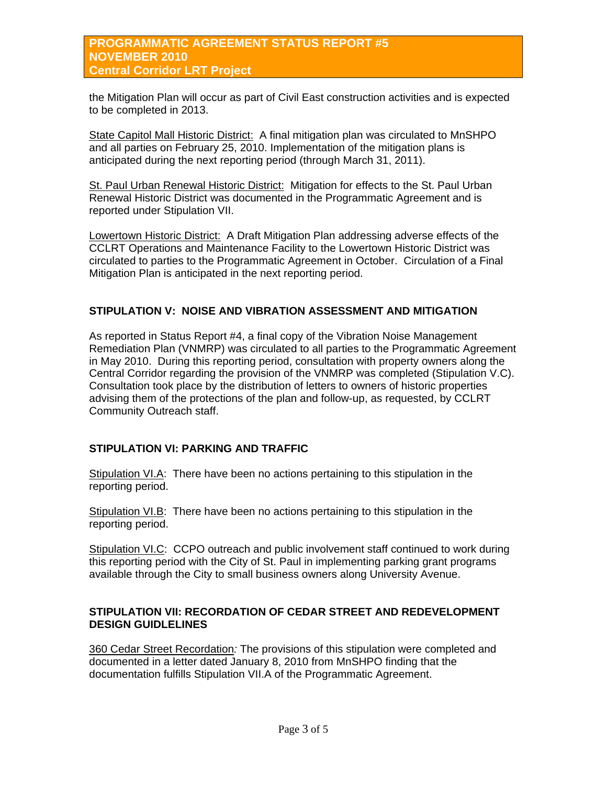## **PROGRAMMATIC AGREEMENT STATUS REPORT #5 NOVEMBER 2010 Central Corridor LRT Project**

the Mitigation Plan will occur as part of Civil East construction activities and is expected to be completed in 2013.

State Capitol Mall Historic District: A final mitigation plan was circulated to MnSHPO and all parties on February 25, 2010. Implementation of the mitigation plans is anticipated during the next reporting period (through March 31, 2011).

St. Paul Urban Renewal Historic District: Mitigation for effects to the St. Paul Urban Renewal Historic District was documented in the Programmatic Agreement and is reported under Stipulation VII.

Lowertown Historic District: A Draft Mitigation Plan addressing adverse effects of the CCLRT Operations and Maintenance Facility to the Lowertown Historic District was circulated to parties to the Programmatic Agreement in October. Circulation of a Final Mitigation Plan is anticipated in the next reporting period.

## **STIPULATION V: NOISE AND VIBRATION ASSESSMENT AND MITIGATION**

As reported in Status Report #4, a final copy of the Vibration Noise Management Remediation Plan (VNMRP) was circulated to all parties to the Programmatic Agreement in May 2010. During this reporting period, consultation with property owners along the Central Corridor regarding the provision of the VNMRP was completed (Stipulation V.C). Consultation took place by the distribution of letters to owners of historic properties advising them of the protections of the plan and follow-up, as requested, by CCLRT Community Outreach staff.

## **STIPULATION VI: PARKING AND TRAFFIC**

Stipulation VI.A: There have been no actions pertaining to this stipulation in the reporting period.

Stipulation VI.B: There have been no actions pertaining to this stipulation in the reporting period.

Stipulation VI.C: CCPO outreach and public involvement staff continued to work during this reporting period with the City of St. Paul in implementing parking grant programs available through the City to small business owners along University Avenue.

## **STIPULATION VII: RECORDATION OF CEDAR STREET AND REDEVELOPMENT DESIGN GUIDLELINES**

360 Cedar Street Recordation*:* The provisions of this stipulation were completed and documented in a letter dated January 8, 2010 from MnSHPO finding that the documentation fulfills Stipulation VII.A of the Programmatic Agreement.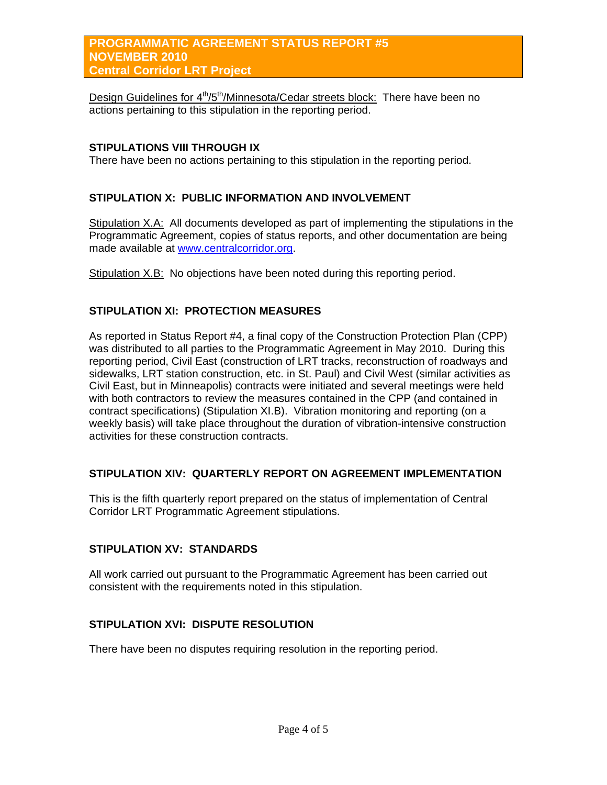Design Guidelines for 4<sup>th</sup>/5<sup>th</sup>/Minnesota/Cedar streets block: There have been no actions pertaining to this stipulation in the reporting period.

#### **STIPULATIONS VIII THROUGH IX**

There have been no actions pertaining to this stipulation in the reporting period.

## **STIPULATION X: PUBLIC INFORMATION AND INVOLVEMENT**

Stipulation X.A: All documents developed as part of implementing the stipulations in the Programmatic Agreement, copies of status reports, and other documentation are being made available at [www.centralcorridor.org](http://www.centralcorridor.org/).

Stipulation X.B: No objections have been noted during this reporting period.

## **STIPULATION XI: PROTECTION MEASURES**

As reported in Status Report #4, a final copy of the Construction Protection Plan (CPP) was distributed to all parties to the Programmatic Agreement in May 2010. During this reporting period, Civil East (construction of LRT tracks, reconstruction of roadways and sidewalks, LRT station construction, etc. in St. Paul) and Civil West (similar activities as Civil East, but in Minneapolis) contracts were initiated and several meetings were held with both contractors to review the measures contained in the CPP (and contained in contract specifications) (Stipulation XI.B). Vibration monitoring and reporting (on a weekly basis) will take place throughout the duration of vibration-intensive construction activities for these construction contracts.

#### **STIPULATION XIV: QUARTERLY REPORT ON AGREEMENT IMPLEMENTATION**

This is the fifth quarterly report prepared on the status of implementation of Central Corridor LRT Programmatic Agreement stipulations.

#### **STIPULATION XV: STANDARDS**

All work carried out pursuant to the Programmatic Agreement has been carried out consistent with the requirements noted in this stipulation.

## **STIPULATION XVI: DISPUTE RESOLUTION**

There have been no disputes requiring resolution in the reporting period.